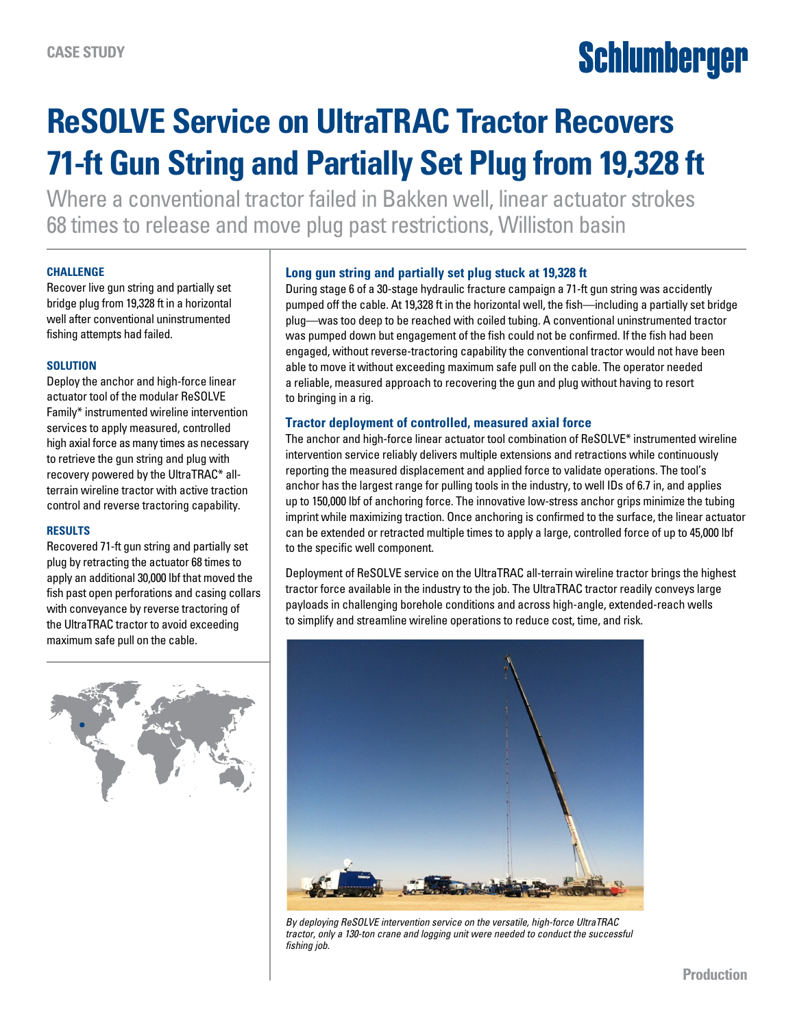# Schlumberger

# **ReSOLVE Service on UltraTRAC Tractor Recovers 71-ft Gun String and Partially Set Plug from 19,328 ft**

Where a conventional tractor failed in Bakken well, linear actuator strokes 68 times to release and move plug past restrictions, Williston basin

## **CHALLENGE**

Recover live gun string and partially set bridge plug from 19,328 ft in a horizontal well after conventional uninstrumented fishing attempts had failed.

## **SOLUTION**

Deploy the anchor and high-force linear actuator tool of the modular ReSOLVE Family\* instrumented wireline intervention services to apply measured, controlled high axial force as many times as necessary to retrieve the gun string and plug with recovery powered by the UltraTRAC\* allterrain wireline tractor with active traction control and reverse tractoring capability.

#### **RESULTS**

Recovered 71-ft gun string and partially set plug by retracting the actuator 68 times to apply an additional 30,000 lbf that moved the fish past open perforations and casing collars with conveyance by reverse tractoring of the UltraTRAC tractor to avoid exceeding maximum safe pull on the cable.



# **Long gun string and partially set plug stuck at 19,328 ft**

During stage 6 of a 30-stage hydraulic fracture campaign a 71-ft gun string was accidently pumped off the cable. At 19,328 ft in the horizontal well, the fish—including a partially set bridge plug—was too deep to be reached with coiled tubing. A conventional uninstrumented tractor was pumped down but engagement of the fish could not be confirmed. If the fish had been engaged, without reverse-tractoring capability the conventional tractor would not have been able to move it without exceeding maximum safe pull on the cable. The operator needed a reliable, measured approach to recovering the gun and plug without having to resort to bringing in a rig.

# **Tractor deployment of controlled, measured axial force**

The anchor and high-force linear actuator tool combination of ReSOLVE\* instrumented wireline intervention service reliably delivers multiple extensions and retractions while continuously reporting the measured displacement and applied force to validate operations. The tool's anchor has the largest range for pulling tools in the industry, to well IDs of 6.7 in, and applies up to 150,000 lbf of anchoring force. The innovative low-stress anchor grips minimize the tubing imprint while maximizing traction. Once anchoring is confirmed to the surface, the linear actuator can be extended or retracted multiple times to apply a large, controlled force of up to 45,000 lbf to the specific well component.

Deployment of ReSOLVE service on the UltraTRAC all-terrain wireline tractor brings the highest tractor force available in the industry to the job. The UltraTRAC tractor readily conveys large payloads in challenging borehole conditions and across high-angle, extended-reach wells to simplify and streamline wireline operations to reduce cost, time, and risk.



*By deploying ReSOLVE intervention service on the versatile, high-force UltraTRAC tractor, only a 130-ton crane and logging unit were needed to conduct the successful fishing job.*